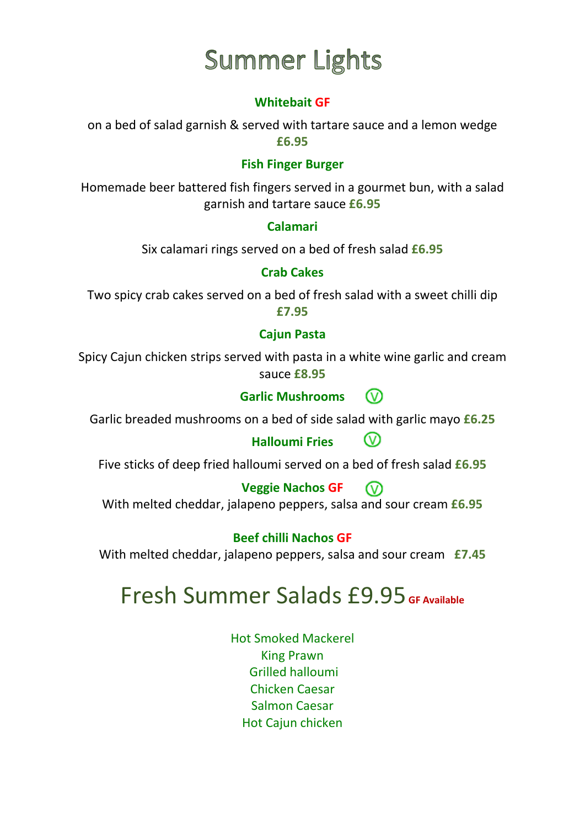# **Summer Lights**

### **Whitebait GF**

on a bed of salad garnish & served with tartare sauce and a lemon wedge **£6.95**

### **Fish Finger Burger**

Homemade beer battered fish fingers served in a gourmet bun, with a salad garnish and tartare sauce **£6.95**

#### **Calamari**

Six calamari rings served on a bed of fresh salad **£6.95**

#### **Crab Cakes**

Two spicy crab cakes served on a bed of fresh salad with a sweet chilli dip **£7.95**

#### **Cajun Pasta**

Spicy Cajun chicken strips served with pasta in a white wine garlic and cream sauce **£8.95**

#### **Garlic Mushrooms** ∞

Garlic breaded mushrooms on a bed of side salad with garlic mayo **£6.25**

## **Halloumi Fries**

 $\odot$ 

Five sticks of deep fried halloumi served on a bed of fresh salad **£6.95**

#### **Veggie Nachos GF** ൜

With melted cheddar, jalapeno peppers, salsa and sour cream **£6.95**

#### **Beef chilli Nachos GF**

With melted cheddar, jalapeno peppers, salsa and sour cream **£7.45**

## Fresh Summer Salads £9.95 **GF Available**

Hot Smoked Mackerel King Prawn Grilled halloumi Chicken Caesar Salmon Caesar Hot Cajun chicken